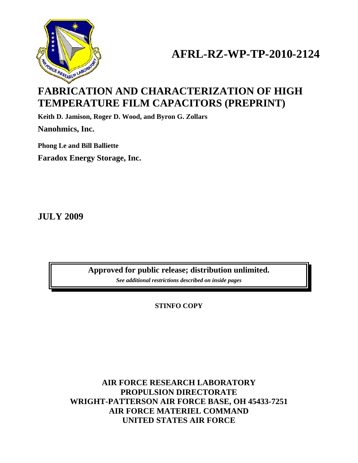

# **AFRL-RZ-WP-TP-2010-2124**

# **FABRICATION AND CHARACTERIZATION OF HIGH TEMPERATURE FILM CAPACITORS (PREPRINT)**

**Keith D. Jamison, Roger D. Wood, and Byron G. Zollars** 

**Nanohmics, Inc.** 

**Phong Le and Bill Balliette Faradox Energy Storage, Inc.** 

**JULY 2009** 

**Approved for public release; distribution unlimited.**  *See additional restrictions described on inside pages*

**STINFO COPY** 

**AIR FORCE RESEARCH LABORATORY PROPULSION DIRECTORATE WRIGHT-PATTERSON AIR FORCE BASE, OH 45433-7251 AIR FORCE MATERIEL COMMAND UNITED STATES AIR FORCE**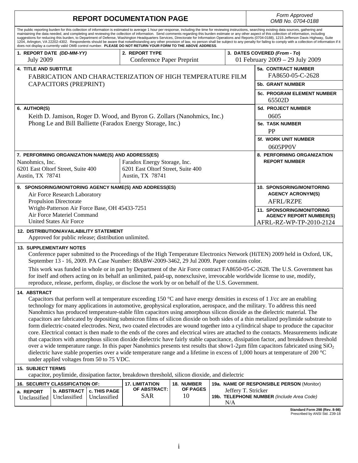| <b>REPORT DOCUMENTATION PAGE</b>                                                                                                                                                                                                                                                                                                                                                                                                                                                                                                                                                                                                                                                                                                                                                                                                                                                                                                                                   |                                  |                 |                  | Form Approved<br>OMB No. 0704-0188                              |  |  |
|--------------------------------------------------------------------------------------------------------------------------------------------------------------------------------------------------------------------------------------------------------------------------------------------------------------------------------------------------------------------------------------------------------------------------------------------------------------------------------------------------------------------------------------------------------------------------------------------------------------------------------------------------------------------------------------------------------------------------------------------------------------------------------------------------------------------------------------------------------------------------------------------------------------------------------------------------------------------|----------------------------------|-----------------|------------------|-----------------------------------------------------------------|--|--|
| The public reporting burden for this collection of information is estimated to average 1 hour per response, including the time for reviewing instructions, searching existing data sources, gathering and<br>maintaining the data needed, and completing and reviewing the collection of information. Send comments regarding this burden estimate or any other aspect of this collection of information, including<br>suggestions for reducing this burden, to Department of Defense, Washington Headquarters Services, Directorate for Information Operations and Reports (0704-0188), 1215 Jefferson Davis Highway, Suite<br>1204, Arlington, VA 22202-4302. Respondents should be aware that notwithstanding any other provision of law, no person shall be subject to any penalty for failing to comply with a collection of information if it<br>does not display a currently valid OMB control number. PLEASE DO NOT RETURN YOUR FORM TO THE ABOVE ADDRESS. |                                  |                 |                  |                                                                 |  |  |
| 1. REPORT DATE (DD-MM-YY)                                                                                                                                                                                                                                                                                                                                                                                                                                                                                                                                                                                                                                                                                                                                                                                                                                                                                                                                          | 2. REPORT TYPE                   |                 |                  | 3. DATES COVERED (From - To)<br>01 February 2009 - 29 July 2009 |  |  |
| <b>July 2009</b>                                                                                                                                                                                                                                                                                                                                                                                                                                                                                                                                                                                                                                                                                                                                                                                                                                                                                                                                                   | <b>Conference Paper Preprint</b> |                 |                  |                                                                 |  |  |
| <b>4. TITLE AND SUBTITLE</b><br>FABRICATION AND CHARACTERIZATION OF HIGH TEMPERATURE FILM                                                                                                                                                                                                                                                                                                                                                                                                                                                                                                                                                                                                                                                                                                                                                                                                                                                                          |                                  |                 |                  | 5a. CONTRACT NUMBER<br>FA8650-05-C-2628                         |  |  |
| <b>CAPACITORS (PREPRINT)</b>                                                                                                                                                                                                                                                                                                                                                                                                                                                                                                                                                                                                                                                                                                                                                                                                                                                                                                                                       |                                  |                 | 5b. GRANT NUMBER |                                                                 |  |  |
|                                                                                                                                                                                                                                                                                                                                                                                                                                                                                                                                                                                                                                                                                                                                                                                                                                                                                                                                                                    |                                  |                 |                  | <b>5c. PROGRAM ELEMENT NUMBER</b><br>65502D                     |  |  |
| 6. AUTHOR(S)                                                                                                                                                                                                                                                                                                                                                                                                                                                                                                                                                                                                                                                                                                                                                                                                                                                                                                                                                       |                                  |                 |                  | <b>5d. PROJECT NUMBER</b>                                       |  |  |
| Keith D. Jamison, Roger D. Wood, and Byron G. Zollars (Nanohmics, Inc.)                                                                                                                                                                                                                                                                                                                                                                                                                                                                                                                                                                                                                                                                                                                                                                                                                                                                                            |                                  |                 | 0605             |                                                                 |  |  |
| Phong Le and Bill Balliette (Faradox Energy Storage, Inc.)                                                                                                                                                                                                                                                                                                                                                                                                                                                                                                                                                                                                                                                                                                                                                                                                                                                                                                         |                                  |                 |                  | <b>5e. TASK NUMBER</b>                                          |  |  |
|                                                                                                                                                                                                                                                                                                                                                                                                                                                                                                                                                                                                                                                                                                                                                                                                                                                                                                                                                                    |                                  |                 |                  | <b>PP</b><br>5f. WORK UNIT NUMBER                               |  |  |
|                                                                                                                                                                                                                                                                                                                                                                                                                                                                                                                                                                                                                                                                                                                                                                                                                                                                                                                                                                    |                                  |                 |                  | 0605PP0V                                                        |  |  |
| 7. PERFORMING ORGANIZATION NAME(S) AND ADDRESS(ES)                                                                                                                                                                                                                                                                                                                                                                                                                                                                                                                                                                                                                                                                                                                                                                                                                                                                                                                 |                                  |                 |                  | 8. PERFORMING ORGANIZATION                                      |  |  |
| Faradox Energy Storage, Inc.<br>Nanohmics, Inc.                                                                                                                                                                                                                                                                                                                                                                                                                                                                                                                                                                                                                                                                                                                                                                                                                                                                                                                    |                                  |                 |                  | <b>REPORT NUMBER</b>                                            |  |  |
| 6201 East Oltorf Street, Suite 400<br>6201 East Oltorf Street, Suite 400<br>Austin, TX 78741<br>Austin, TX 78741                                                                                                                                                                                                                                                                                                                                                                                                                                                                                                                                                                                                                                                                                                                                                                                                                                                   |                                  |                 |                  |                                                                 |  |  |
|                                                                                                                                                                                                                                                                                                                                                                                                                                                                                                                                                                                                                                                                                                                                                                                                                                                                                                                                                                    |                                  |                 |                  |                                                                 |  |  |
| 9. SPONSORING/MONITORING AGENCY NAME(S) AND ADDRESS(ES)                                                                                                                                                                                                                                                                                                                                                                                                                                                                                                                                                                                                                                                                                                                                                                                                                                                                                                            |                                  |                 |                  | 10. SPONSORING/MONITORING                                       |  |  |
| Air Force Research Laboratory<br><b>Propulsion Directorate</b>                                                                                                                                                                                                                                                                                                                                                                                                                                                                                                                                                                                                                                                                                                                                                                                                                                                                                                     |                                  |                 |                  | <b>AGENCY ACRONYM(S)</b><br>AFRL/RZPE                           |  |  |
| Wright-Patterson Air Force Base, OH 45433-7251                                                                                                                                                                                                                                                                                                                                                                                                                                                                                                                                                                                                                                                                                                                                                                                                                                                                                                                     |                                  |                 |                  | <b>11. SPONSORING/MONITORING</b>                                |  |  |
| Air Force Materiel Command                                                                                                                                                                                                                                                                                                                                                                                                                                                                                                                                                                                                                                                                                                                                                                                                                                                                                                                                         |                                  |                 |                  | <b>AGENCY REPORT NUMBER(S)</b>                                  |  |  |
| <b>United States Air Force</b>                                                                                                                                                                                                                                                                                                                                                                                                                                                                                                                                                                                                                                                                                                                                                                                                                                                                                                                                     |                                  |                 |                  | AFRL-RZ-WP-TP-2010-2124                                         |  |  |
| <b>12. DISTRIBUTION/AVAILABILITY STATEMENT</b><br>Approved for public release; distribution unlimited.                                                                                                                                                                                                                                                                                                                                                                                                                                                                                                                                                                                                                                                                                                                                                                                                                                                             |                                  |                 |                  |                                                                 |  |  |
| <b>13. SUPPLEMENTARY NOTES</b><br>Conference paper submitted to the Proceedings of the High Temperature Electronics Network (HiTEN) 2009 held in Oxford, UK,                                                                                                                                                                                                                                                                                                                                                                                                                                                                                                                                                                                                                                                                                                                                                                                                       |                                  |                 |                  |                                                                 |  |  |
| September 13 - 16, 2009. PA Case Number: 88ABW-2009-3462, 29 Jul 2009. Paper contains color.                                                                                                                                                                                                                                                                                                                                                                                                                                                                                                                                                                                                                                                                                                                                                                                                                                                                       |                                  |                 |                  |                                                                 |  |  |
| This work was funded in whole or in part by Department of the Air Force contract FA8650-05-C-2628. The U.S. Government has                                                                                                                                                                                                                                                                                                                                                                                                                                                                                                                                                                                                                                                                                                                                                                                                                                         |                                  |                 |                  |                                                                 |  |  |
| for itself and others acting on its behalf an unlimited, paid-up, nonexclusive, irrevocable worldwide license to use, modify,<br>reproduce, release, perform, display, or disclose the work by or on behalf of the U.S. Government.                                                                                                                                                                                                                                                                                                                                                                                                                                                                                                                                                                                                                                                                                                                                |                                  |                 |                  |                                                                 |  |  |
| <b>14. ABSTRACT</b>                                                                                                                                                                                                                                                                                                                                                                                                                                                                                                                                                                                                                                                                                                                                                                                                                                                                                                                                                |                                  |                 |                  |                                                                 |  |  |
| Capacitors that perform well at temperature exceeding 150 $\degree$ C and have energy densities in excess of 1 J/cc are an enabling                                                                                                                                                                                                                                                                                                                                                                                                                                                                                                                                                                                                                                                                                                                                                                                                                                |                                  |                 |                  |                                                                 |  |  |
| technology for many applications in automotive, geophysical exploration, aerospace, and the military. To address this need<br>Nanohmics has produced temperature-stable film capacitors using amorphous silicon dioxide as the dielectric material. The                                                                                                                                                                                                                                                                                                                                                                                                                                                                                                                                                                                                                                                                                                            |                                  |                 |                  |                                                                 |  |  |
| capacitors are fabricated by depositing submicron films of silicon dioxide on both sides of a thin metalized poylimide substrate to                                                                                                                                                                                                                                                                                                                                                                                                                                                                                                                                                                                                                                                                                                                                                                                                                                |                                  |                 |                  |                                                                 |  |  |
| form dielectric-coated electrodes. Next, two coated electrodes are wound together into a cylindrical shape to produce the capacitor                                                                                                                                                                                                                                                                                                                                                                                                                                                                                                                                                                                                                                                                                                                                                                                                                                |                                  |                 |                  |                                                                 |  |  |
| core. Electrical contact is then made to the ends of the cores and electrical wires are attached to the contacts. Measurements indicate<br>that capacitors with amorphous silicon dioxide dielectric have fairly stable capacitance, dissipation factor, and breakdown threshold                                                                                                                                                                                                                                                                                                                                                                                                                                                                                                                                                                                                                                                                                   |                                  |                 |                  |                                                                 |  |  |
| over a wide temperature range. In this paper Nanohmics presents test results that show 1-2 $\mu$ m film capacitors fabricated using SiO <sub>2</sub>                                                                                                                                                                                                                                                                                                                                                                                                                                                                                                                                                                                                                                                                                                                                                                                                               |                                  |                 |                  |                                                                 |  |  |
| dielectric have stable properties over a wide temperature range and a lifetime in excess of 1,000 hours at temperature of 200 °C                                                                                                                                                                                                                                                                                                                                                                                                                                                                                                                                                                                                                                                                                                                                                                                                                                   |                                  |                 |                  |                                                                 |  |  |
| under applied voltages from 50 to 75 VDC.                                                                                                                                                                                                                                                                                                                                                                                                                                                                                                                                                                                                                                                                                                                                                                                                                                                                                                                          |                                  |                 |                  |                                                                 |  |  |
| <b>15. SUBJECT TERMS</b><br>capacitor, poylimide, dissipation factor, breakdown threshold, silicon dioxide, and dielectric                                                                                                                                                                                                                                                                                                                                                                                                                                                                                                                                                                                                                                                                                                                                                                                                                                         |                                  |                 |                  |                                                                 |  |  |
| 16. SECURITY CLASSIFICATION OF:                                                                                                                                                                                                                                                                                                                                                                                                                                                                                                                                                                                                                                                                                                                                                                                                                                                                                                                                    | <b>17. LIMITATION</b>            | 18. NUMBER      |                  | 19a. NAME OF RESPONSIBLE PERSON (Monitor)                       |  |  |
| <b>b. ABSTRACT</b><br><b>c. THIS PAGE</b><br>a. REPORT                                                                                                                                                                                                                                                                                                                                                                                                                                                                                                                                                                                                                                                                                                                                                                                                                                                                                                             | OF ABSTRACT:                     | <b>OF PAGES</b> |                  | Jeffery T. Stricker                                             |  |  |
| Unclassified<br>Unclassified<br>Unclassified                                                                                                                                                                                                                                                                                                                                                                                                                                                                                                                                                                                                                                                                                                                                                                                                                                                                                                                       | <b>SAR</b>                       | 10              | N/A              | 19b. TELEPHONE NUMBER (Include Area Code)                       |  |  |
| Standard Form 298 (Rev. 8-98)<br>Prescribed by ANSI Std. Z39-18                                                                                                                                                                                                                                                                                                                                                                                                                                                                                                                                                                                                                                                                                                                                                                                                                                                                                                    |                                  |                 |                  |                                                                 |  |  |

i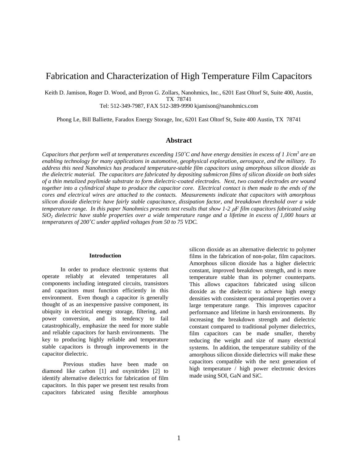# Fabrication and Characterization of High Temperature Film Capacitors

Keith D. Jamison, Roger D. Wood, and Byron G. Zollars, Nanohmics, Inc., 6201 East Oltorf St, Suite 400, Austin, TX 78741

Tel: 512-349-7987, FAX 512-389-9990 kjamison@nanohmics.com

Phong Le, Bill Balliette, Faradox Energy Storage, Inc, 6201 East Oltorf St, Suite 400 Austin, TX 78741

# **Abstract**

*Capacitors that perform well at temperatures exceeding 150˚C and have energy densities in excess of 1 J/cm<sup>3</sup> are an enabling technology for many applications in automotive, geophysical exploration, aerospace, and the military. To address this need Nanohmics has produced temperature-stable film capacitors using amorphous silicon dioxide as the dielectric material. The capacitors are fabricated by depositing submicron films of silicon dioxide on both sides of a thin metalized poylimide substrate to form dielectric-coated electrodes. Next, two coated electrodes are wound together into a cylindrical shape to produce the capacitor core. Electrical contact is then made to the ends of the cores and electrical wires are attached to the contacts. Measurements indicate that capacitors with amorphous silicon dioxide dielectric have fairly stable capacitance, dissipation factor, and breakdown threshold over a wide temperature range. In this paper Nanohmics presents test results that show 1-2*  $\mu$ *F film capacitors fabricated using SiO2 dielectric have stable properties over a wide temperature range and a lifetime in excess of 1,000 hours at temperatures of 200˚C under applied voltages from 50 to 75 VDC.* 

### **Introduction**

In order to produce electronic systems that operate reliably at elevated temperatures all components including integrated circuits, transistors and capacitors must function efficiently in this environment. Even though a capacitor is generally thought of as an inexpensive passive component, its ubiquity in electrical energy storage, filtering, and power conversion, and its tendency to fail catastrophically, emphasize the need for more stable and reliable capacitors for harsh environments. The key to producing highly reliable and temperature stable capacitors is through improvements in the capacitor dielectric.

Previous studies have been made on diamond like carbon [1] and oxynitrides [2] to identify alternative dielectrics for fabrication of film capacitors. In this paper we present test results from capacitors fabricated using flexible amorphous silicon dioxide as an alternative dielectric to polymer films in the fabrication of non-polar, film capacitors. Amorphous silicon dioxide has a higher dielectric constant, improved breakdown strength, and is more temperature stable than its polymer counterparts. This allows capacitors fabricated using silicon dioxide as the dielectric to achieve high energy densities with consistent operational properties over a large temperature range. This improves capacitor performance and lifetime in harsh environments. By increasing the breakdown strength and dielectric constant compared to traditional polymer dielectrics, film capacitors can be made smaller, thereby reducing the weight and size of many electrical systems. In addition, the temperature stability of the amorphous silicon dioxide dielectrics will make these capacitors compatible with the next generation of high temperature / high power electronic devices made using SOI, GaN and SiC.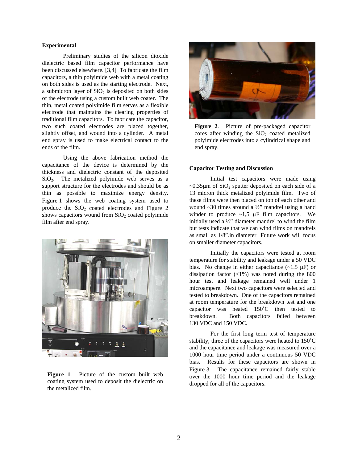# **Experimental**

Preliminary studies of the silicon dioxide dielectric based film capacitor performance have been discussed elsewhere. [3,4] To fabricate the film capacitors, a thin polyimide web with a metal coating on both sides is used as the starting electrode. Next, a submicron layer of  $SiO<sub>2</sub>$  is deposited on both sides of the electrode using a custom built web coater. The thin, metal coated polyimide film serves as a flexible electrode that maintains the clearing properties of traditional film capacitors. To fabricate the capacitor, two such coated electrodes are placed together, slightly offset, and wound into a cylinder. A metal end spray is used to make electrical contact to the ends of the film.

Using the above fabrication method the capacitance of the device is determined by the thickness and dielectric constant of the deposited  $SiO<sub>2</sub>$ . The metalized polyimide web serves as a support structure for the electrodes and should be as thin as possible to maximize energy density. Figure 1 shows the web coating system used to produce the  $SiO<sub>2</sub>$  coated electrodes and Figure 2 shows capacitors wound from  $SiO<sub>2</sub>$  coated polyimide film after end spray.



**Figure 1**. Picture of the custom built web coating system used to deposit the dielectric on the metalized film.



**Figure 2**. Picture of pre-packaged capacitor cores after winding the  $SiO<sub>2</sub>$  coated metalized polyimide electrodes into a cylindrical shape and end spray.

### **Capacitor Testing and Discussion**

Initial test capacitors were made using  $\sim$ 0.35 $\mu$ m of SiO<sub>2</sub> sputter deposited on each side of a 13 micron thick metalized polyimide film. Two of these films were then placed on top of each other and wound ~30 times around a ½" mandrel using a hand winder to produce  $\sim 1.5$   $\mu$ F film capacitors. We initially used a ½" diameter mandrel to wind the film but tests indicate that we can wind films on mandrels as small as 1/8".in diameter Future work will focus on smaller diameter capacitors.

Initially the capacitors were tested at room temperature for stability and leakage under a 50 VDC bias. No change in either capacitance  $(\sim 1.5 \text{ }\mu\text{F})$  or dissipation factor  $\left(\langle 1\% \right)$  was noted during the 800 hour test and leakage remained well under 1 microampere. Next two capacitors were selected and tested to breakdown. One of the capacitors remained at room temperature for the breakdown test and one capacitor was heated 150˚C then tested to breakdown. Both capacitors failed between 130 VDC and 150 VDC.

For the first long term test of temperature stability, three of the capacitors were heated to 150˚C and the capacitance and leakage was measured over a 1000 hour time period under a continuous 50 VDC bias. Results for these capacitors are shown in Figure 3. The capacitance remained fairly stable over the 1000 hour time period and the leakage dropped for all of the capacitors.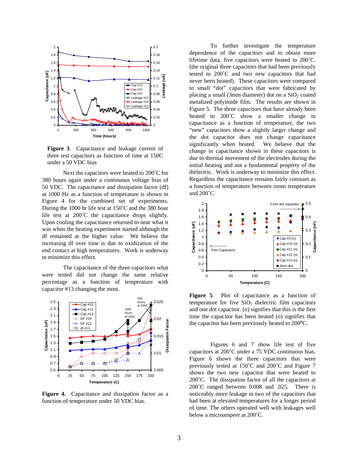

**Figure 3**. Capacitance and leakage current of three test capacitors as function of time at 150C under a 50 VDC bias

Next the capacitors were heated to 200˚C for 380 hours again under a continuous voltage bias of 50 VDC. The capacitance and dissipation factor (df) at 1000 Hz as a function of temperature is shown in Figure 4 for the combined set of experiments. During the 1000 hr life test at 150˚C and the 380 hour life test at 200˚C the capacitance drops slightly. Upon cooling the capacitance returned to near what it was when the heating experiment started although the df remained at the higher value. We believe the increasing df over time is due to oxidization of the end contact at high temperatures. Work is underway to minimize this effect.

The capacitance of the three capacitors what were tested did not change the same relative percentage as a function of temperature with capacitor #13 changing the most.



**Figure 4.** Capacitance and dissipation factor as a function of temperature under 50 VDC bias.

To further investigate the temperature dependence of the capacitors and to obtain more lifetime data, five capacitors were heated to 200˚C. (the original three capacitors that had been previously tested to 200˚C and two new capacitors that had never been heated). These capacitors were compared to small "dot" capacitors that were fabricated by placing a small (3mm diameter) dot on a  $SiO<sub>2</sub>$  coated metalized polyimide film. The results are shown in Figure 5. The three capacitors that have already been heated to 200˚C show a smaller change in capacitance as a function of temperature, the two "new" capacitors show a slightly larger change and the dot capacitor does not change capacitance significantly when heated. We believe that the change in capacitance shown in these capacitors is due to thermal movement of the electrodes during the initial heating and not a fundamental property of the dielectric. Work is underway to minimize this effect. Regardless the capacitance remains fairly constant as a function of temperature between room temperature and 200˚C.



**Figure 5**. Plot of capacitance as a function of temperature for five  $SiO<sub>2</sub>$  dielectric film capacitors and one dot capacitor. (n) signifies that this is the first time the capacitor has been heated (o) signifies that the capacitor has been previously heated to 200<sup>o</sup>C.

Figures 6 and 7 show life test of five capacitors at 200˚C under a 75 VDC continuous bias. Figure 6 shows the three capacitors that were previously tested at 150˚C and 200˚C and Figure 7 shows the two new capacitor that were heated to 200˚C. The dissipation factor of all the capacitors at 200˚C ranged between 0.008 and .025. There is noticeably more leakage in two of the capacitors that had been at elevated temperatures for a longer period of time. The others operated well with leakages well below a microampere at 200˚C.